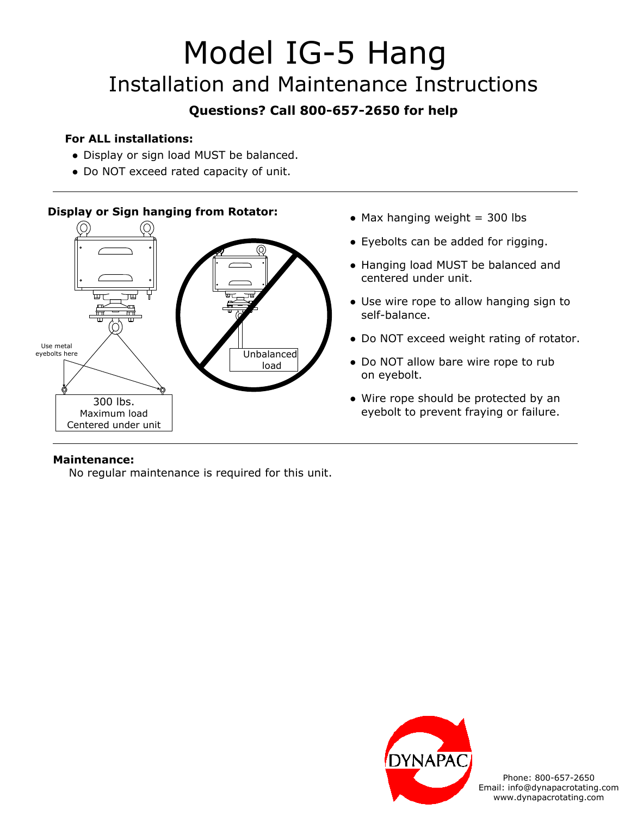# Model IG-5 Hang Installation and Maintenance Instructions

# **Questions? Call 800-657-2650 for help**

## **For ALL installations:**

- Display or sign load MUST be balanced.
- Do NOT exceed rated capacity of unit.

### **Display or Sign hanging from Rotator:**



- $\bullet$  Max hanging weight = 300 lbs
- Eyebolts can be added for rigging.
- Hanging load MUST be balanced and centered under unit.
- Use wire rope to allow hanging sign to self-balance.
- Do NOT exceed weight rating of rotator.
- Do NOT allow bare wire rope to rub on eyebolt.
- Wire rope should be protected by an eyebolt to prevent fraying or failure.

### **Maintenance:**

No regular maintenance is required for this unit.